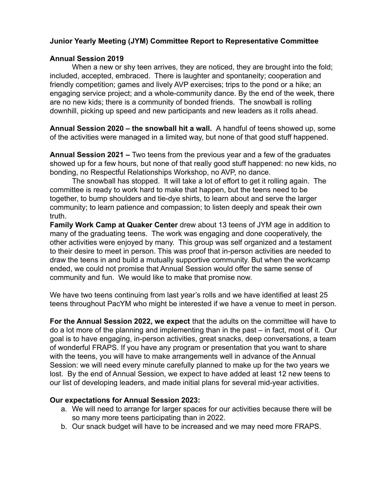## **Junior Yearly Meeting (JYM) Committee Report to Representative Committee**

## **Annual Session 2019**

When a new or shy teen arrives, they are noticed, they are brought into the fold; included, accepted, embraced. There is laughter and spontaneity; cooperation and friendly competition; games and lively AVP exercises; trips to the pond or a hike; an engaging service project; and a whole-community dance. By the end of the week, there are no new kids; there is a community of bonded friends. The snowball is rolling downhill, picking up speed and new participants and new leaders as it rolls ahead.

**Annual Session 2020 – the snowball hit a wall.** A handful of teens showed up, some of the activities were managed in a limited way, but none of that good stuff happened.

**Annual Session 2021 –** Two teens from the previous year and a few of the graduates showed up for a few hours, but none of that really good stuff happened: no new kids, no bonding, no Respectful Relationships Workshop, no AVP, no dance.

The snowball has stopped. It will take a lot of effort to get it rolling again. The committee is ready to work hard to make that happen, but the teens need to be together, to bump shoulders and tie-dye shirts, to learn about and serve the larger community; to learn patience and compassion; to listen deeply and speak their own truth.

**Family Work Camp at Quaker Center** drew about 13 teens of JYM age in addition to many of the graduating teens. The work was engaging and done cooperatively, the other activities were enjoyed by many. This group was self organized and a testament to their desire to meet in person. This was proof that in-person activities are needed to draw the teens in and build a mutually supportive community. But when the workcamp ended, we could not promise that Annual Session would offer the same sense of community and fun. We would like to make that promise now.

We have two teens continuing from last year's rolls and we have identified at least 25 teens throughout PacYM who might be interested if we have a venue to meet in person.

**For the Annual Session 2022, we expect** that the adults on the committee will have to do a lot more of the planning and implementing than in the past – in fact, most of it. Our goal is to have engaging, in-person activities, great snacks, deep conversations, a team of wonderful FRAPS. If you have any program or presentation that you want to share with the teens, you will have to make arrangements well in advance of the Annual Session: we will need every minute carefully planned to make up for the two years we lost. By the end of Annual Session, we expect to have added at least 12 new teens to our list of developing leaders, and made initial plans for several mid-year activities.

## **Our expectations for Annual Session 2023:**

- a. We will need to arrange for larger spaces for our activities because there will be so many more teens participating than in 2022.
- b. Our snack budget will have to be increased and we may need more FRAPS.